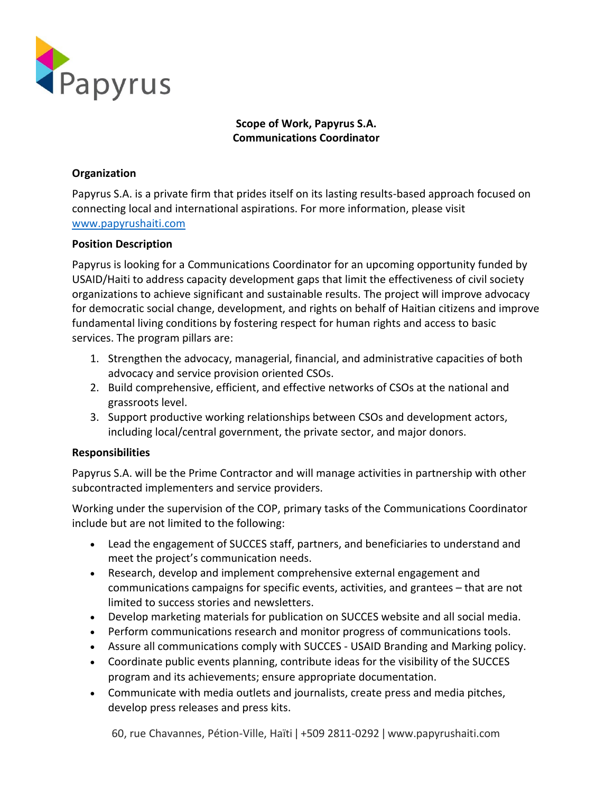

# **Scope of Work, Papyrus S.A. Communications Coordinator**

# **Organization**

Papyrus S.A. is a private firm that prides itself on its lasting results-based approach focused on connecting local and international aspirations. For more information, please visit [www.papyrushaiti.com](http://www.papyrushaiti.com/)

### **Position Description**

Papyrus is looking for a Communications Coordinator for an upcoming opportunity funded by USAID/Haiti to address capacity development gaps that limit the effectiveness of civil society organizations to achieve significant and sustainable results. The project will improve advocacy for democratic social change, development, and rights on behalf of Haitian citizens and improve fundamental living conditions by fostering respect for human rights and access to basic services. The program pillars are:

- 1. Strengthen the advocacy, managerial, financial, and administrative capacities of both advocacy and service provision oriented CSOs.
- 2. Build comprehensive, efficient, and effective networks of CSOs at the national and grassroots level.
- 3. Support productive working relationships between CSOs and development actors, including local/central government, the private sector, and major donors.

### **Responsibilities**

Papyrus S.A. will be the Prime Contractor and will manage activities in partnership with other subcontracted implementers and service providers.

Working under the supervision of the COP, primary tasks of the Communications Coordinator include but are not limited to the following:

- Lead the engagement of SUCCES staff, partners, and beneficiaries to understand and meet the project's communication needs.
- Research, develop and implement comprehensive external engagement and communications campaigns for specific events, activities, and grantees – that are not limited to success stories and newsletters.
- Develop marketing materials for publication on SUCCES website and all social media.
- Perform communications research and monitor progress of communications tools.
- Assure all communications comply with SUCCES USAID Branding and Marking policy.
- Coordinate public events planning, contribute ideas for the visibility of the SUCCES program and its achievements; ensure appropriate documentation.
- Communicate with media outlets and journalists, create press and media pitches, develop press releases and press kits.

60, rue Chavannes, Pétion-Ville, Haïti ǀ +509 2811-0292 ǀ www.papyrushaiti.com